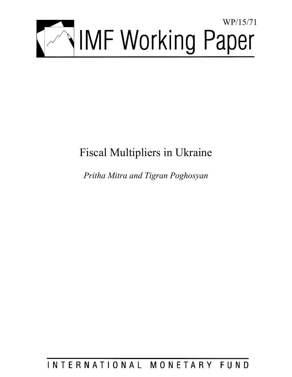

# Fiscal Multipliers in Ukraine

*Pritha Mitra and Tigran Poghosyan* 

## INTERNATIONAL MONETARY FUND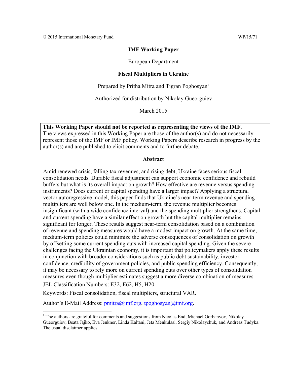#### **IMF Working Paper**

European Department

#### **Fiscal Multipliers in Ukraine**

Prepared by Pritha Mitra and Tigran Poghosyan<sup>1</sup>

Authorized for distribution by Nikolay Gueorguiev

March 2015

**This Working Paper should not be reported as representing the views of the IMF.**  The views expressed in this Working Paper are those of the author(s) and do not necessarily represent those of the IMF or IMF policy. Working Papers describe research in progress by the author(s) and are published to elicit comments and to further debate.

#### **Abstract**

Amid renewed crisis, falling tax revenues, and rising debt, Ukraine faces serious fiscal consolidation needs. Durable fiscal adjustment can support economic confidence and rebuild buffers but what is its overall impact on growth? How effective are revenue versus spending instruments? Does current or capital spending have a larger impact? Applying a structural vector autoregressive model, this paper finds that Ukraine's near-term revenue and spending multipliers are well below one. In the medium-term, the revenue multiplier becomes insignificant (with a wide confidence interval) and the spending multiplier strengthens. Capital and current spending have a similar effect on growth but the capital multiplier remains significant for longer. These results suggest near-term consolidation based on a combination of revenue and spending measures would have a modest impact on growth. At the same time, medium-term policies could minimize the adverse consequences of consolidation on growth by offsetting some current spending cuts with increased capital spending. Given the severe challenges facing the Ukrainian economy, it is important that policymakers apply these results in conjunction with broader considerations such as public debt sustainability, investor confidence, credibility of government policies, and public spending efficiency. Consequently, it may be necessary to rely more on current spending cuts over other types of consolidation measures even though multiplier estimates suggest a more diverse combination of measures. JEL Classification Numbers: E32, E62, H5, H20.

Keywords: Fiscal consolidation, fiscal multipliers, structural VAR.

Author's E-Mail Address: pmitra@imf.org, tpoghosyan@imf.org.

<sup>&</sup>lt;sup>1</sup> The authors are grateful for comments and suggestions from Nicolas End, Michael Gorbanyov, Nikolay Gueorguiev, Beata Jajko, Eva Jenkner, Linda Kaltani, Jeta Menkulasi, Sergiy Nikolaychuk, and Andreas Tudyka. The usual disclaimer applies.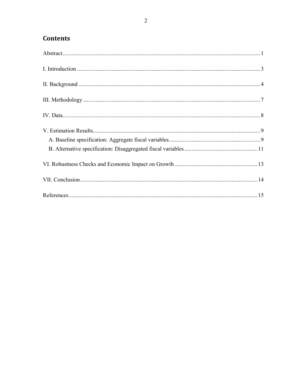### **Contents**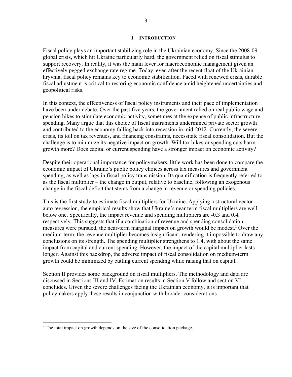#### **I. INTRODUCTION**

Fiscal policy plays an important stabilizing role in the Ukrainian economy. Since the 2008-09 global crisis, which hit Ukraine particularly hard, the government relied on fiscal stimulus to support recovery. In reality, it was the main lever for macroeconomic management given an effectively pegged exchange rate regime. Today, even after the recent float of the Ukrainian hryvnia, fiscal policy remains key to economic stabilization. Faced with renewed crisis, durable fiscal adjustment is critical to restoring economic confidence amid heightened uncertainties and geopolitical risks.

In this context, the effectiveness of fiscal policy instruments and their pace of implementation have been under debate. Over the past five years, the government relied on real public wage and pension hikes to stimulate economic activity, sometimes at the expense of public infrastructure spending. Many argue that this choice of fiscal instruments undermined private sector growth and contributed to the economy falling back into recession in mid-2012. Currently, the severe crisis, its toll on tax revenues, and financing constraints, necessitate fiscal consolidation. But the challenge is to minimize its negative impact on growth. Will tax hikes or spending cuts harm growth more? Does capital or current spending have a stronger impact on economic activity?

Despite their operational importance for policymakers, little work has been done to compare the economic impact of Ukraine's public policy choices across tax measures and government spending, as well as lags in fiscal policy transmission. Its quantification is frequently referred to as the fiscal multiplier – the change in output, relative to baseline, following an exogenous change in the fiscal deficit that stems from a change in revenue or spending policies.

This is the first study to estimate fiscal multipliers for Ukraine. Applying a structural vector auto regression, the empirical results show that Ukraine's near term fiscal multipliers are well below one. Specifically, the impact revenue and spending multipliers are -0.3 and 0.4, respectively. This suggests that if a combination of revenue and spending consolidation measures were pursued, the near-term marginal impact on growth would be modest.<sup>2</sup> Over the medium-term, the revenue multiplier becomes insignificant, rendering it impossible to draw any conclusions on its strength. The spending multiplier strengthens to 1.4, with about the same impact from capital and current spending. However, the impact of the capital multiplier lasts longer. Against this backdrop, the adverse impact of fiscal consolidation on medium-term growth could be minimized by cutting current spending while raising that on capital.

Section II provides some background on fiscal multipliers. The methodology and data are discussed in Sections III and IV. Estimation results in Section V follow and section VI concludes. Given the severe challenges facing the Ukrainian economy, it is important that policymakers apply these results in conjunction with broader considerations –

<sup>&</sup>lt;sup>2</sup> The total impact on growth depends on the size of the consolidation package.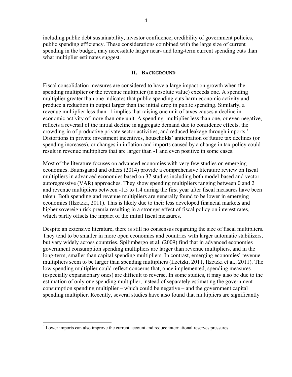including public debt sustainability, investor confidence, credibility of government policies, public spending efficiency. These considerations combined with the large size of current spending in the budget, may necessitate larger near- and long-term current spending cuts than what multiplier estimates suggest.

#### **II. BACKGROUND**

Fiscal consolidation measures are considered to have a large impact on growth when the spending multiplier or the revenue multiplier (in absolute value) exceeds one. A spending multiplier greater than one indicates that public spending cuts harm economic activity and produce a reduction in output larger than the initial drop in public spending. Similarly, a revenue multiplier less than -1 implies that raising one unit of taxes causes a decline in economic activity of more than one unit. A spending multiplier less than one, or even negative, reflects a reversal of the initial decline in aggregate demand due to confidence effects, the crowding-in of productive private sector activities, and reduced leakage through imports.<sup>3</sup> Distortions in private investment incentives, households' anticipation of future tax declines (or spending increases), or changes in inflation and imports caused by a change in tax policy could result in revenue multipliers that are larger than -1 and even positive in some cases.

Most of the literature focuses on advanced economies with very few studies on emerging economies. Baunsgaard and others (2014) provide a comprehensive literature review on fiscal multipliers in advanced economies based on 37 studies including both model-based and vector autoregressive (VAR) approaches. They show spending multipliers ranging between 0 and 2 and revenue multipliers between -1.5 to 1.4 during the first year after fiscal measures have been taken. Both spending and revenue multipliers are generally found to be lower in emerging economies (Ilzetzki, 2011). This is likely due to their less developed financial markets and higher sovereign risk premia resulting in a stronger effect of fiscal policy on interest rates, which partly offsets the impact of the initial fiscal measures.

Despite an extensive literature, there is still no consensus regarding the size of fiscal multipliers. They tend to be smaller in more open economies and countries with larger automatic stabilizers, but vary widely across countries. Spilimbergo et al. (2009) find that in advanced economies government consumption spending multipliers are larger than revenue multipliers, and in the long-term, smaller than capital spending multipliers. In contrast, emerging economies' revenue multipliers seem to be larger than spending multipliers (Ilzetzki, 2011, Ilzetzki et al., 2011). The low spending multiplier could reflect concerns that, once implemented, spending measures (especially expansionary ones) are difficult to reverse. In some studies, it may also be due to the estimation of only one spending multiplier, instead of separately estimating the government consumption spending multiplier – which could be negative – and the government capital spending multiplier. Recently, several studies have also found that multipliers are significantly

<sup>&</sup>lt;sup>3</sup> Lower imports can also improve the current account and reduce international reserves pressures.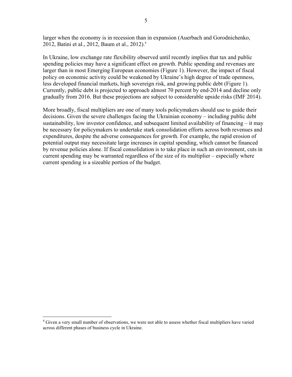larger when the economy is in recession than in expansion (Auerbach and Gorodnichenko, 2012, Batini et al., 2012, Baum et al., 2012).4

In Ukraine, low exchange rate flexibility observed until recently implies that tax and public spending policies may have a significant effect on growth. Public spending and revenues are larger than in most Emerging European economies (Figure 1). However, the impact of fiscal policy on economic activity could be weakened by Ukraine's high degree of trade openness, less developed financial markets, high sovereign risk, and growing public debt (Figure 1). Currently, public debt is projected to approach almost 70 percent by end-2014 and decline only gradually from 2016. But these projections are subject to considerable upside risks (IMF 2014).

More broadly, fiscal multipliers are one of many tools policymakers should use to guide their decisions. Given the severe challenges facing the Ukrainian economy – including public debt sustainability, low investor confidence, and subsequent limited availability of financing – it may be necessary for policymakers to undertake stark consolidation efforts across both revenues and expenditures, despite the adverse consequences for growth. For example, the rapid erosion of potential output may necessitate large increases in capital spending, which cannot be financed by revenue policies alone. If fiscal consolidation is to take place in such an environment, cuts in current spending may be warranted regardless of the size of its multiplier – especially where current spending is a sizeable portion of the budget.

 $\overline{a}$ 

<sup>&</sup>lt;sup>4</sup> Given a very small number of observations, we were not able to assess whether fiscal multipliers have varied across different phases of business cycle in Ukraine.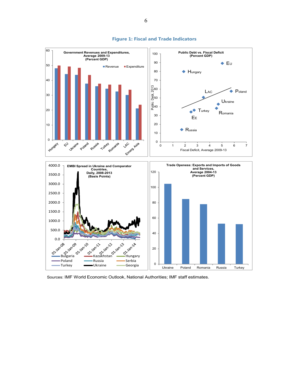

#### **Figure 1: Fiscal and Trade Indicators**

Sources: IMF World Economic Outlook, National Authorities; IMF staff estimates.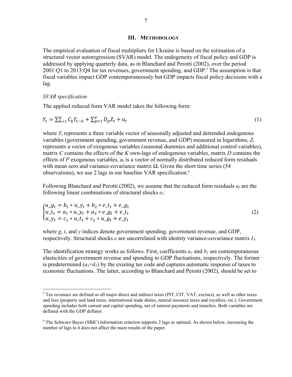#### **III. METHODOLOGY**

The empirical evaluation of fiscal multipliers for Ukraine is based on the estimation of a structural vector autoregression (SVAR) model. The endogeneity of fiscal policy and GDP is addressed by applying quarterly data, as in Blanchard and Perotti (2002), over the period  $2001$ :Q1 to  $2013$ :Q4 for tax revenues, government spending, and GDP.<sup>5</sup> The assumption is that fiscal variables impact GDP contemporaneously but GDP impacts fiscal policy decisions with a lag.

#### *SVAR specification*

 $\overline{a}$ 

The applied reduced form VAR model takes the following form:

$$
Y_t = \sum_{k=1}^{K} C_k Y_{t-k} + \sum_{p=1}^{P} D_p Z_t + u_t
$$
\n(1)

where  $Y_t$  represents a three variable vector of seasonally adjusted and detrended endogenous variables (government spending, government revenue, and GDP) measured in logarithms, *Zt* represents a vector of exogenous variables (seasonal dummies and additional control variables), matrix *C* contains the effects of the *K* own-lags of endogenous variables, matrix *D* contains the effects of *P* exogenous variables, *ut* is a vector of normally distributed reduced form residuals with mean zero and variance-covariance matrix  $\Omega$ . Given the short time series (54) observations), we use 2 lags in our baseline VAR specification.6

Following Blanchard and Perotti (2002), we assume that the reduced form residuals  $u_t$  are the following linear combinations of structural shocks *et*:

$$
\begin{cases}\nu_{-}g_{t} = b_{1} * u_{-}y_{t} + b_{2} * e_{-}t_{t} + e_{-}g_{t} \nu_{-}t_{t} = a_{1} * u_{-}y_{t} + a_{2} * e_{-}g_{t} + e_{-}t_{t} \nu_{-}y_{t} = c_{1} * u_{-}t_{t} + c_{2} * u_{-}g_{t} + e_{-}y_{t}\n\end{cases} (2)
$$

where  $g, t$ , and  $\gamma$  indices denote government spending, government revenue, and GDP, respectively. Structural shocks *e* are uncorrelated with identity variance-covariance matrix *I3*.

The identification strategy works as follows. First, coefficients  $a_l$  and  $b_l$  are contemporaneous elasticities of government revenue and spending to GDP fluctuations, respectively. The former is predetermined  $(a_1 = \overline{a_1})$  by the existing tax code and captures automatic response of taxes to economic fluctuations. The latter, according to Blanchard and Perotti (2002), should be set to

 $<sup>5</sup>$  Tax revenues are defined as all major direct and indirect taxes (PIT, CIT, VAT, excises), as well as other taxes</sup> and fees (property and land taxes, international trade duties, natural resource taxes and royalties, etc.). Government spending includes both current and capital spending, net of interest payments and transfers. Both variables are deflated with the GDP deflator.

<sup>&</sup>lt;sup>6</sup> The Schwarz-Bayes (SBIC) information criterion supports 2 lags as optimal. As shown below, increasing the number of lags to 4 does not affect the main results of the paper.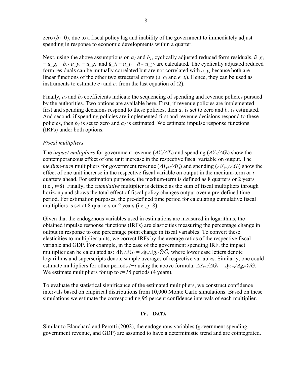zero  $(b_1=0)$ , due to a fiscal policy lag and inability of the government to immediately adjust spending in response to economic developments within a quarter.

Next, using the above assumptions on  $a_l$  and  $b_l$ , cyclically adjusted reduced form residuals,  $\tilde{u}$   $g_t$  $= u_gt - b_1 * u_yt = u_gt$  and  $\tilde{u}_t = u_t - \bar{a}_1 * u_yt$  are calculated. The cyclically adjusted reduced form residuals can be mutually correlated but are not correlated with  $e_y_t$  because both are linear functions of the other two structural errors ( $e_g_t$  and  $e_t$ ). Hence, they can be used as instruments to estimate  $c_1$  and  $c_2$  from the last equation of (2).

Finally,  $a_2$  and  $b_2$  coefficients indicate the sequencing of spending and revenue policies pursued by the authorities. Two options are available here. First, if revenue policies are implemented first and spending decisions respond to these policies, then  $a_2$  is set to zero and  $b_2$  is estimated. And second, if spending policies are implemented first and revenue decisions respond to these policies, then  $b_2$  is set to zero and  $a_2$  is estimated. We estimate impulse response functions (IRFs) under both options.

#### *Fiscal multipliers*

The *impact multipliers* for government revenue  $(\Delta Y_t/\Delta T_t)$  and spending  $(\Delta Y_t/\Delta G_t)$  show the contemporaneous effect of one unit increase in the respective fiscal variable on output. The *medium-term* multipliers for government revenue  $(\Delta Y_{t+i}/\Delta T_t)$  and spending  $(\Delta Y_{t+i}/\Delta G_t)$  show the effect of one unit increase in the respective fiscal variable on output in the medium-term or *i* quarters ahead. For estimation purposes, the medium-term is defined as 8 quarters or 2 years (i.e., *i*=8). Finally, the *cumulative* multiplier is defined as the sum of fiscal multipliers through horizon *j* and shows the total effect of fiscal policy changes output over a pre-defined time period. For estimation purposes, the pre-defined time period for calculating cumulative fiscal multipliers is set at 8 quarters or 2 years (i.e., *j*=8).

Given that the endogenous variables used in estimations are measured in logarithms, the obtained impulse response functions (IRFs) are elasticities measuring the percentage change in output in response to one percentage point change in fiscal variables. To convert these elasticities to multiplier units, we correct IRFs by the average ratios of the respective fiscal variable and GDP. For example, in the case of the government spending IRF, the impact multiplier can be calculated as:  $\Delta Y_t/\Delta G_t = \Delta y_t/\Delta g_t * \bar{Y}/\bar{G}$ , where lower case letters denote logarithms and superscripts denote sample averages of respective variables. Similarly, one could estimate multipliers for other periods  $t+i$  using the above formula:  $\Delta Y_{t+i}/\Delta G_t = \Delta y_{t+i}/\Delta g_t * \bar{Y}/\bar{G}$ . We estimate multipliers for up to  $t=16$  periods (4 years).

To evaluate the statistical significance of the estimated multipliers, we construct confidence intervals based on empirical distributions from 10,000 Monte Carlo simulations. Based on these simulations we estimate the corresponding 95 percent confidence intervals of each multiplier.

#### **IV. DATA**

Similar to Blanchard and Perotti (2002), the endogenous variables (government spending, government revenue, and GDP) are assumed to have a deterministic trend and are cointegrated.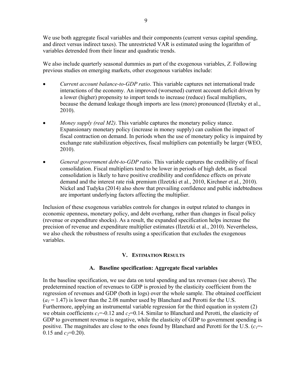We use both aggregate fiscal variables and their components (current versus capital spending, and direct versus indirect taxes). The unrestricted VAR is estimated using the logarithm of variables detrended from their linear and quadratic trends.

We also include quarterly seasonal dummies as part of the exogenous variables, *Z*. Following previous studies on emerging markets, other exogenous variables include:

- *Current account balance-to-GDP ratio*. This variable captures net international trade interactions of the economy. An improved (worsened) current account deficit driven by a lower (higher) propensity to import tends to increase (reduce) fiscal multipliers, because the demand leakage though imports are less (more) pronounced (Ilzetsky et al., 2010).
- *Money supply (real M2)*. This variable captures the monetary policy stance. Expansionary monetary policy (increase in money supply) can cushion the impact of fiscal contraction on demand. In periods when the use of monetary policy is impaired by exchange rate stabilization objectives, fiscal multipliers can potentially be larger (WEO, 2010).
- *General government debt-to-GDP ratio*. This variable captures the credibility of fiscal consolidation. Fiscal multipliers tend to be lower in periods of high debt, as fiscal consolidation is likely to have positive credibility and confidence effects on private demand and the interest rate risk premium (Ilzetzki et al., 2010, Kirchner et al., 2010). Nickel and Tudyka (2014) also show that prevailing confidence and public indebtedness are important underlying factors affecting the multiplier.

Inclusion of these exogenous variables controls for changes in output related to changes in economic openness, monetary policy, and debt overhang, rather than changes in fiscal policy (revenue or expenditure shocks). As a result, the expanded specification helps increase the precision of revenue and expenditure multiplier estimates (Ilzetzki et al., 2010). Nevertheless, we also check the robustness of results using a specification that excludes the exogenous variables.

### **V. ESTIMATION RESULTS**

### **A. Baseline specification: Aggregate fiscal variables**

In the baseline specification, we use data on total spending and tax revenues (see above). The predetermined reaction of revenues to GDP is proxied by the elasticity coefficient from the regression of revenues and GDP (both in logs) over the whole sample. The obtained coefficient  $(a_1 = 1.47)$  is lower than the 2.08 number used by Blanchard and Perotti for the U.S. Furthermore, applying an instrumental variable regression for the third equation in system (2) we obtain coefficients  $c_1 = -0.12$  and  $c_2 = 0.14$ . Similar to Blanchard and Perotti, the elasticity of GDP to government revenue is negative, while the elasticity of GDP to government spending is positive. The magnitudes are close to the ones found by Blanchard and Perotti for the U.S.  $(c_1 = c_2)$  $0.15$  and  $c_2=0.20$ ).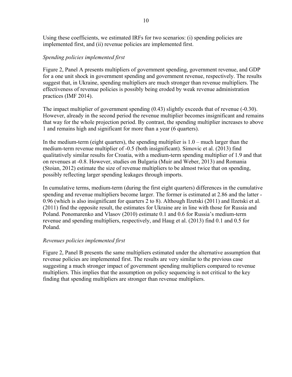Using these coefficients, we estimated IRFs for two scenarios: (i) spending policies are implemented first, and (ii) revenue policies are implemented first.

#### *Spending policies implemented first*

Figure 2, Panel A presents multipliers of government spending, government revenue, and GDP for a one unit shock in government spending and government revenue, respectively. The results suggest that, in Ukraine, spending multipliers are much stronger than revenue multipliers. The effectiveness of revenue policies is possibly being eroded by weak revenue administration practices (IMF 2014).

The impact multiplier of government spending (0.43) slightly exceeds that of revenue (-0.30). However, already in the second period the revenue multiplier becomes insignificant and remains that way for the whole projection period. By contrast, the spending multiplier increases to above 1 and remains high and significant for more than a year (6 quarters).

In the medium-term (eight quarters), the spending multiplier is 1.0 – much larger than the medium-term revenue multiplier of -0.5 (both insignificant). Simovic et al. (2013) find qualitatively similar results for Croatia, with a medium-term spending multiplier of 1.9 and that on revenues at -0.8. However, studies on Bulgaria (Muir and Weber, 2013) and Romania (Stoian, 2012) estimate the size of revenue multipliers to be almost twice that on spending, possibly reflecting larger spending leakages through imports.

In cumulative terms, medium-term (during the first eight quarters) differences in the cumulative spending and revenue multipliers become larger. The former is estimated at 2.86 and the latter - 0.96 (which is also insignificant for quarters 2 to 8). Although Ilzetski (2011) and Ilzetski et al. (2011) find the opposite result, the estimates for Ukraine are in line with those for Russia and Poland. Ponomarenko and Vlasov (2010) estimate 0.1 and 0.6 for Russia's medium-term revenue and spending multipliers, respectively, and Haug et al. (2013) find 0.1 and 0.5 for Poland.

#### *Revenues policies implemented first*

Figure 2, Panel B presents the same multipliers estimated under the alternative assumption that revenue policies are implemented first. The results are very similar to the previous case suggesting a much stronger impact of government spending multipliers compared to revenue multipliers. This implies that the assumption on policy sequencing is not critical to the key finding that spending multipliers are stronger than revenue multipliers.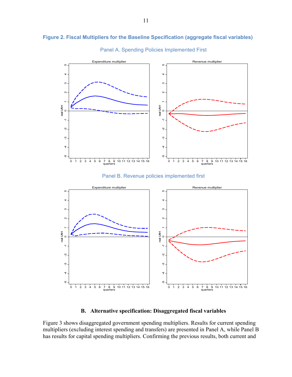



Panel A. Spending Policies Implemented First

Panel B. Revenue policies implemented first



**B. Alternative specification: Disaggregated fiscal variables** 

Figure 3 shows disaggregated government spending multipliers. Results for current spending multipliers (excluding interest spending and transfers) are presented in Panel A, while Panel B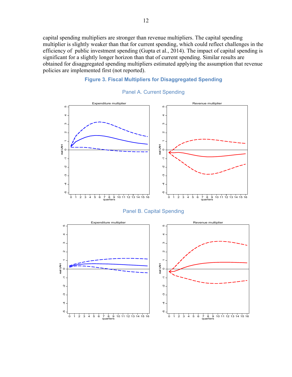capital spending multipliers are stronger than revenue multipliers. The capital spending multiplier is slightly weaker than that for current spending, which could reflect challenges in the efficiency of public investment spending (Gupta et al., 2014). The impact of capital spending is significant for a slightly longer horizon than that of current spending. Similar results are obtained for disaggregated spending multipliers estimated applying the assumption that revenue policies are implemented first (not reported).

#### **Figure 3. Fiscal Multipliers for Disaggregated Spending**



#### Panel A. Current Spending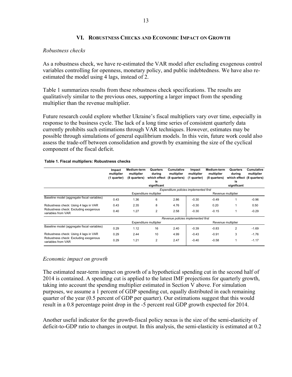#### **VI. ROBUSTNESS CHECKS AND ECONOMIC IMPACT ON GROWTH**

#### *Robustness checks*

As a robustness check, we have re-estimated the VAR model after excluding exogenous control variables controlling for openness, monetary policy, and public indebtedness. We have also reestimated the model using 4 lags, instead of 2.

Table 1 summarizes results from these robustness check specifications. The results are qualitatively similar to the previous ones, supporting a larger impact from the spending multiplier than the revenue multiplier.

Future research could explore whether Ukraine's fiscal multipliers vary over time, especially in response to the business cycle. The lack of a long time series of consistent quarterly data currently prohibits such estimations through VAR techniques. However, estimates may be possible through simulations of general equilibrium models. In this vein, future work could also assess the trade-off between consolidation and growth by examining the size of the cyclical component of the fiscal deficit.

|  |  | Table 1. Fiscal multipliers: Robustness checks |  |
|--|--|------------------------------------------------|--|
|  |  |                                                |  |

|                                                                                                      | Impact<br>multiplier<br>(1 quarter)    | Medium-term<br>multiplier<br>(8 quarters) | Quarters<br>durina<br>which effect<br>is | Cumulative<br>multiplier<br>(8 quarters) | Impact<br>multiplier<br>(1 quarter) | Medium-term<br>multiplier<br>(8 quarters) | Quarters<br>during<br>which effect<br>is | <b>Cumulative</b><br>multiplier<br>(8 quarters) |
|------------------------------------------------------------------------------------------------------|----------------------------------------|-------------------------------------------|------------------------------------------|------------------------------------------|-------------------------------------|-------------------------------------------|------------------------------------------|-------------------------------------------------|
|                                                                                                      |                                        |                                           | significant                              |                                          |                                     |                                           | significant                              |                                                 |
|                                                                                                      | Expenditure policies implemented first |                                           |                                          |                                          |                                     |                                           |                                          |                                                 |
|                                                                                                      | Expenditure multiplier                 |                                           |                                          | Revenue multiplier                       |                                     |                                           |                                          |                                                 |
| Baseline model (aggregate fiscal variables)                                                          | 0.43                                   | 1.36                                      | 6                                        | 2.86                                     | $-0.30$                             | $-0.49$                                   |                                          | $-0.96$                                         |
| Robustness check: Using 4 lags in VAR                                                                | 0.43                                   | 2.35                                      | 8                                        | 4.76                                     | $-0.30$                             | 0.20                                      |                                          | 0.50                                            |
| Robustness check: Excluding exogenous<br>variables from VAR                                          | 0.40                                   | 1.27                                      | 2                                        | 2.58                                     | $-0.30$                             | $-0.15$                                   |                                          | $-0.29$                                         |
|                                                                                                      |                                        |                                           |                                          | Revenue policies implemented first       |                                     |                                           |                                          |                                                 |
|                                                                                                      | Expenditure multiplier                 |                                           |                                          |                                          | Revenue multiplier                  |                                           |                                          |                                                 |
| Baseline model (aggregate fiscal variables)                                                          | 0.29                                   | 1.12                                      | 16                                       | 2.40                                     | $-0.39$                             | $-0.83$                                   | 2                                        | $-1.69$                                         |
| Robustness check: Using 4 lags in VAR<br>Robustness check: Excluding exogenous<br>variables from VAR | 0.29                                   | 2.44                                      | 10                                       | 4.99                                     | $-0.43$                             | $-0.91$                                   | 3                                        | $-1.76$                                         |
|                                                                                                      | 0.29                                   | 1.21                                      | 2                                        | 2.47                                     | $-0.40$                             | $-0.58$                                   |                                          | $-1.17$                                         |

#### *Economic impact on growth*

The estimated near-term impact on growth of a hypothetical spending cut in the second half of 2014 is contained. A spending cut is applied to the latest IMF projections for quarterly growth, taking into account the spending multiplier estimated in Section V above. For simulation purposes, we assume a 1 percent of GDP spending cut, equally distributed in each remaining quarter of the year (0.5 percent of GDP per quarter). Our estimations suggest that this would result in a 0.8 percentage point drop in the -5 percent real GDP growth expected for 2014.

Another useful indicator for the growth-fiscal policy nexus is the size of the semi-elasticity of deficit-to-GDP ratio to changes in output. In this analysis, the semi-elasticity is estimated at 0.2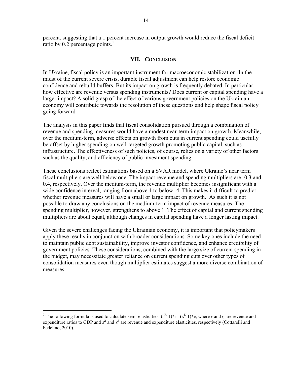percent, suggesting that a 1 percent increase in output growth would reduce the fiscal deficit ratio by 0.2 percentage points.<sup>7</sup>

#### **VII. CONCLUSION**

In Ukraine, fiscal policy is an important instrument for macroeconomic stabilization. In the midst of the current severe crisis, durable fiscal adjustment can help restore economic confidence and rebuild buffers. But its impact on growth is frequently debated. In particular, how effective are revenue versus spending instruments? Does current or capital spending have a larger impact? A solid grasp of the effect of various government policies on the Ukrainian economy will contribute towards the resolution of these questions and help shape fiscal policy going forward.

The analysis in this paper finds that fiscal consolidation pursued through a combination of revenue and spending measures would have a modest near-term impact on growth. Meanwhile, over the medium-term, adverse effects on growth from cuts in current spending could usefully be offset by higher spending on well-targeted growth promoting public capital, such as infrastructure. The effectiveness of such policies, of course, relies on a variety of other factors such as the quality, and efficiency of public investment spending.

These conclusions reflect estimations based on a SVAR model, where Ukraine's near term fiscal multipliers are well below one. The impact revenue and spending multipliers are -0.3 and 0.4, respectively. Over the medium-term, the revenue multiplier becomes insignificant with a wide confidence interval, ranging from above 1 to below -4. This makes it difficult to predict whether revenue measures will have a small or large impact on growth. As such it is not possible to draw any conclusions on the medium-term impact of revenue measures. The spending multiplier, however, strengthens to above 1. The effect of capital and current spending multipliers are about equal, although changes in capital spending have a longer lasting impact.

Given the severe challenges facing the Ukrainian economy, it is important that policymakers apply these results in conjunction with broader considerations. Some key ones include the need to maintain public debt sustainability, improve investor confidence, and enhance credibility of government policies. These considerations, combined with the large size of current spending in the budget, may necessitate greater reliance on current spending cuts over other types of consolidation measures even though multiplier estimates suggest a more diverse combination of measures.

 $\overline{a}$ 

<sup>&</sup>lt;sup>7</sup> The following formula is used to calculate semi-elasticities:  $(\epsilon^R - 1)^*r - (\epsilon^E - 1)^*e$ , where *r* and *g* are revenue and expenditure ratios to GDP and  $\varepsilon^R$  and  $\varepsilon^E$  are revenue and expenditure elasticities, respectively (Cottarelli and Fedelino, 2010).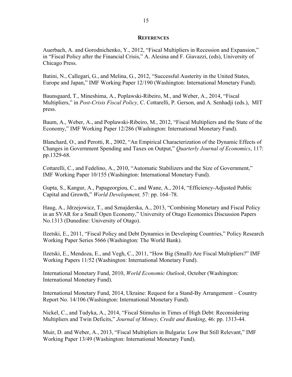#### **REFERENCES**

Auerbach, A. and Gorodnichenko, Y., 2012, "Fiscal Multipliers in Recession and Expansion," in "Fiscal Policy after the Financial Crisis," A. Alesina and F. Giavazzi, (eds), University of Chicago Press.

Batini, N., Callegari, G., and Melina, G., 2012, "Successful Austerity in the United States, Europe and Japan," IMF Working Paper 12/190 (Washington: International Monetary Fund).

Baunsgaard, T., Mineshima, A., Poplawski-Ribeiro, M., and Weber, A., 2014, "Fiscal Multipliers," in *Post-Crisis Fiscal Policy,* C. Cottarelli, P. Gerson, and A. Senhadji (eds.), MIT press.

Baum, A., Weber, A., and Poplawski-Ribeiro, M., 2012, "Fiscal Multipliers and the State of the Economy," IMF Working Paper 12/286 (Washington: International Monetary Fund).

Blanchard, O., and Perotti, R., 2002, "An Empirical Characterization of the Dynamic Effects of Changes in Government Spending and Taxes on Output," *Quarterly Journal of Economics*, 117: pp.1329-68.

Cottarelli, C., and Fedelino, A., 2010, "Automatic Stabilizers and the Size of Government," IMF Working Paper 10/155 (Washington: International Monetary Fund).

Gupta, S., Kangur, A., Papageorgiou, C., and Wane, A., 2014, "Efficiency-Adjusted Public Capital and Growth," *World Development,* 57: pp. 164–78.

Haug, A., Jdrzejowicz, T., and Sznajderska, A., 2013, "Combining Monetary and Fiscal Policy in an SVAR for a Small Open Economy," University of Otago Economics Discussion Papers No.1313 (Dunedine: University of Otago).

Ilzetski, E., 2011, "Fiscal Policy and Debt Dynamics in Developing Countries," Policy Research Working Paper Series 5666 (Washington: The World Bank).

Ilzetski, E., Mendoza, E., and Vegh, C., 2011, "How Big (Small) Are Fiscal Multipliers?" IMF Working Papers 11/52 (Washington: International Monetary Fund).

International Monetary Fund, 2010, *World Economic Outlook*, October (Washington: International Monetary Fund).

International Monetary Fund, 2014, Ukraine: Request for a Stand-By Arrangement – Country Report No. 14/106 (Washington: International Monetary Fund).

Nickel, C., and Tudyka, A., 2014, "Fiscal Stimulus in Times of High Debt: Reconsidering Multipliers and Twin Deficits," *Journal of Money, Credit and Banking*, 46: pp. 1313-44.

Muir, D. and Weber, A., 2013, "Fiscal Multipliers in Bulgaria: Low But Still Relevant," IMF Working Paper 13/49 (Washington: International Monetary Fund).